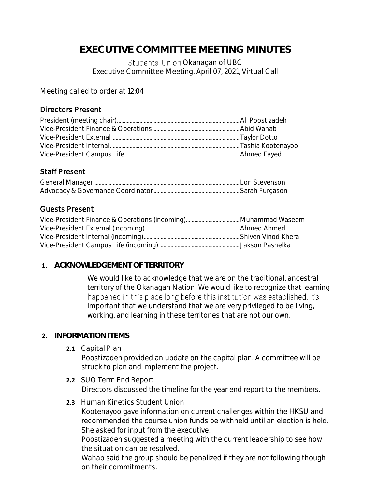# **EXECUTIVE COMMITTEE MEETING MINUTES**

Students' Union Okanagan of UBC Executive Committee Meeting, April 07, 2021, Virtual Call

Meeting called to order at 12:04

## Directors Present

### Staff Present

## Guests Present

#### **1. ACKNOWLEDGEMENT OF TERRITORY**

We would like to acknowledge that we are on the traditional, ancestral territory of the Okanagan Nation. We would like to recognize that learning happened in this place long before this institution was established. It's important that we understand that we are very privileged to be living, working, and learning in these territories that are not our own.

#### **2. INFORMATION ITEMS**

**2.1** Capital Plan

Poostizadeh provided an update on the capital plan. A committee will be struck to plan and implement the project.

- **2.2** SUO Term End Report Directors discussed the timeline for the year end report to the members.
- **2.3** Human Kinetics Student Union

Kootenayoo gave information on current challenges within the HKSU and recommended the course union funds be withheld until an election is held. She asked for input from the executive.

Poostizadeh suggested a meeting with the current leadership to see how the situation can be resolved.

Wahab said the group should be penalized if they are not following though on their commitments.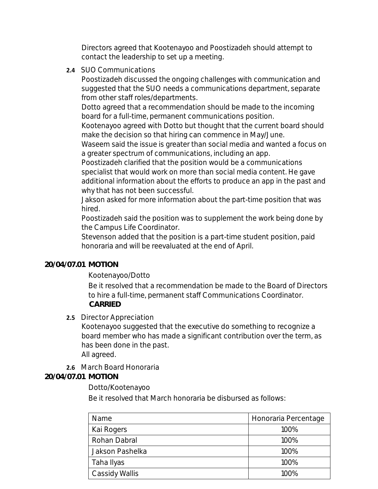Directors agreed that Kootenayoo and Poostizadeh should attempt to contact the leadership to set up a meeting.

**2.4** SUO Communications

Poostizadeh discussed the ongoing challenges with communication and suggested that the SUO needs a communications department, separate from other staff roles/departments.

Dotto agreed that a recommendation should be made to the incoming board for a full-time, permanent communications position.

Kootenayoo agreed with Dotto but thought that the current board should make the decision so that hiring can commence in May/June.

Waseem said the issue is greater than social media and wanted a focus on a greater spectrum of communications, including an app.

Poostizadeh clarified that the position would be a communications specialist that would work on more than social media content. He gave additional information about the efforts to produce an app in the past and why that has not been successful.

Jakson asked for more information about the part-time position that was hired.

Poostizadeh said the position was to supplement the work being done by the Campus Life Coordinator.

Stevenson added that the position is a part-time student position, paid honoraria and will be reevaluated at the end of April.

#### **20/04/07.01 MOTION**

Kootenayoo/Dotto

Be it resolved that a recommendation be made to the Board of Directors to hire a full-time, permanent staff Communications Coordinator. **CARRIED**

**2.5** Director Appreciation

Kootenayoo suggested that the executive do something to recognize a board member who has made a significant contribution over the term, as has been done in the past.

All agreed.

**2.6** March Board Honoraria

**20/04/07.01 MOTION**

#### Dotto/Kootenayoo

Be it resolved that March honoraria be disbursed as follows:

| Name            | Honoraria Percentage |
|-----------------|----------------------|
| Kai Rogers      | 100%                 |
| Rohan Dabral    | 100%                 |
| Jakson Pashelka | 100%                 |
| Taha Ilyas      | 100%                 |
| Cassidy Wallis  | $100\%$              |